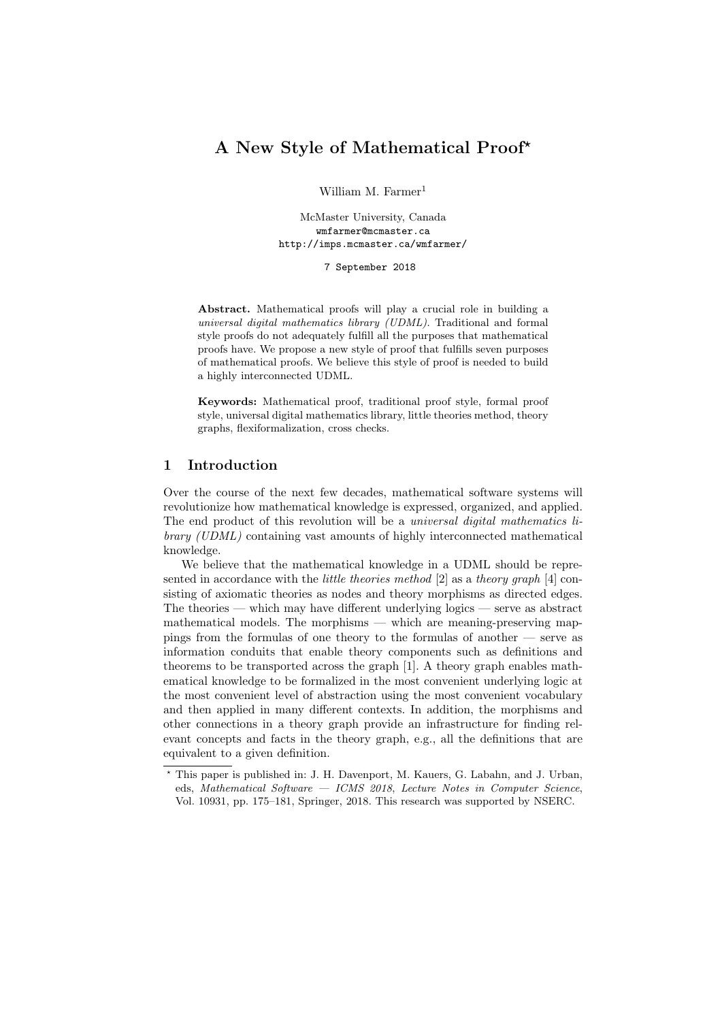# A New Style of Mathematical Proof?

William M. Farmer<sup>1</sup>

McMaster University, Canada wmfarmer@mcmaster.ca http://imps.mcmaster.ca/wmfarmer/

7 September 2018

Abstract. Mathematical proofs will play a crucial role in building a universal digital mathematics library (UDML). Traditional and formal style proofs do not adequately fulfill all the purposes that mathematical proofs have. We propose a new style of proof that fulfills seven purposes of mathematical proofs. We believe this style of proof is needed to build a highly interconnected UDML.

Keywords: Mathematical proof, traditional proof style, formal proof style, universal digital mathematics library, little theories method, theory graphs, flexiformalization, cross checks.

### 1 Introduction

Over the course of the next few decades, mathematical software systems will revolutionize how mathematical knowledge is expressed, organized, and applied. The end product of this revolution will be a *universal digital mathematics li*brary (UDML) containing vast amounts of highly interconnected mathematical knowledge.

We believe that the mathematical knowledge in a UDML should be represented in accordance with the *little theories method* [2] as a *theory graph* [4] consisting of axiomatic theories as nodes and theory morphisms as directed edges. The theories — which may have different underlying logics — serve as abstract mathematical models. The morphisms — which are meaning-preserving mappings from the formulas of one theory to the formulas of another — serve as information conduits that enable theory components such as definitions and theorems to be transported across the graph [1]. A theory graph enables mathematical knowledge to be formalized in the most convenient underlying logic at the most convenient level of abstraction using the most convenient vocabulary and then applied in many different contexts. In addition, the morphisms and other connections in a theory graph provide an infrastructure for finding relevant concepts and facts in the theory graph, e.g., all the definitions that are equivalent to a given definition.

<sup>?</sup> This paper is published in: J. H. Davenport, M. Kauers, G. Labahn, and J. Urban, eds, Mathematical Software — ICMS 2018, Lecture Notes in Computer Science, Vol. 10931, pp. 175–181, Springer, 2018. This research was supported by NSERC.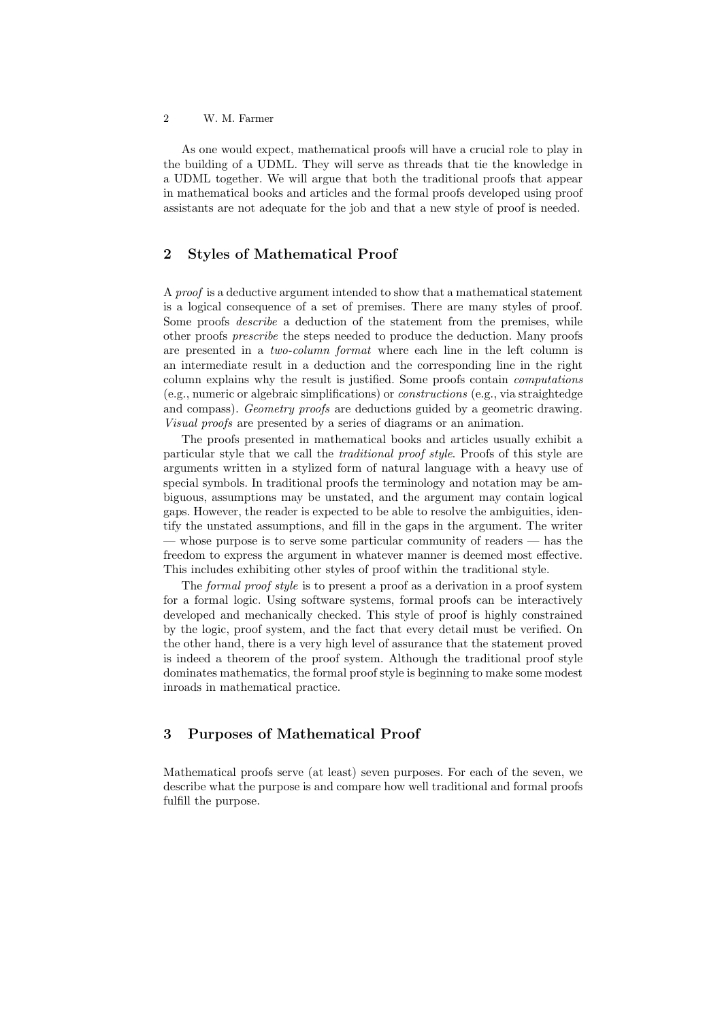#### 2 W. M. Farmer

As one would expect, mathematical proofs will have a crucial role to play in the building of a UDML. They will serve as threads that tie the knowledge in a UDML together. We will argue that both the traditional proofs that appear in mathematical books and articles and the formal proofs developed using proof assistants are not adequate for the job and that a new style of proof is needed.

### 2 Styles of Mathematical Proof

A proof is a deductive argument intended to show that a mathematical statement is a logical consequence of a set of premises. There are many styles of proof. Some proofs *describe* a deduction of the statement from the premises, while other proofs prescribe the steps needed to produce the deduction. Many proofs are presented in a two-column format where each line in the left column is an intermediate result in a deduction and the corresponding line in the right column explains why the result is justified. Some proofs contain computations (e.g., numeric or algebraic simplifications) or constructions (e.g., via straightedge and compass). Geometry proofs are deductions guided by a geometric drawing. Visual proofs are presented by a series of diagrams or an animation.

The proofs presented in mathematical books and articles usually exhibit a particular style that we call the traditional proof style. Proofs of this style are arguments written in a stylized form of natural language with a heavy use of special symbols. In traditional proofs the terminology and notation may be ambiguous, assumptions may be unstated, and the argument may contain logical gaps. However, the reader is expected to be able to resolve the ambiguities, identify the unstated assumptions, and fill in the gaps in the argument. The writer — whose purpose is to serve some particular community of readers — has the freedom to express the argument in whatever manner is deemed most effective. This includes exhibiting other styles of proof within the traditional style.

The formal proof style is to present a proof as a derivation in a proof system for a formal logic. Using software systems, formal proofs can be interactively developed and mechanically checked. This style of proof is highly constrained by the logic, proof system, and the fact that every detail must be verified. On the other hand, there is a very high level of assurance that the statement proved is indeed a theorem of the proof system. Although the traditional proof style dominates mathematics, the formal proof style is beginning to make some modest inroads in mathematical practice.

#### 3 Purposes of Mathematical Proof

Mathematical proofs serve (at least) seven purposes. For each of the seven, we describe what the purpose is and compare how well traditional and formal proofs fulfill the purpose.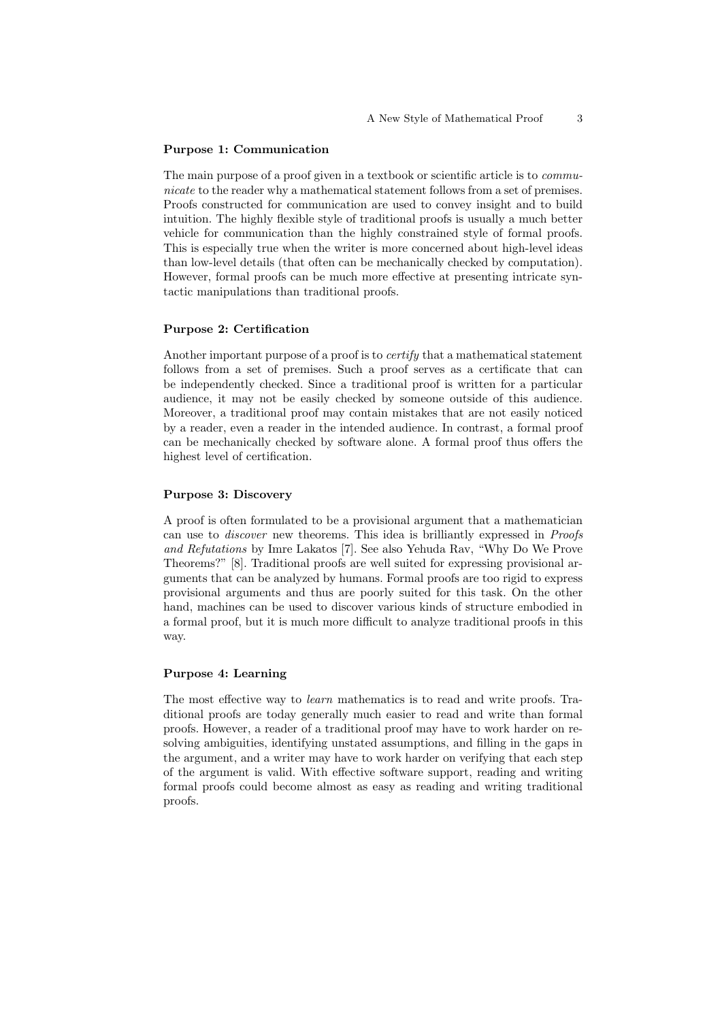#### Purpose 1: Communication

The main purpose of a proof given in a textbook or scientific article is to *commu*nicate to the reader why a mathematical statement follows from a set of premises. Proofs constructed for communication are used to convey insight and to build intuition. The highly flexible style of traditional proofs is usually a much better vehicle for communication than the highly constrained style of formal proofs. This is especially true when the writer is more concerned about high-level ideas than low-level details (that often can be mechanically checked by computation). However, formal proofs can be much more effective at presenting intricate syntactic manipulations than traditional proofs.

#### Purpose 2: Certification

Another important purpose of a proof is to certify that a mathematical statement follows from a set of premises. Such a proof serves as a certificate that can be independently checked. Since a traditional proof is written for a particular audience, it may not be easily checked by someone outside of this audience. Moreover, a traditional proof may contain mistakes that are not easily noticed by a reader, even a reader in the intended audience. In contrast, a formal proof can be mechanically checked by software alone. A formal proof thus offers the highest level of certification.

#### Purpose 3: Discovery

A proof is often formulated to be a provisional argument that a mathematician can use to discover new theorems. This idea is brilliantly expressed in Proofs and Refutations by Imre Lakatos [7]. See also Yehuda Rav, "Why Do We Prove Theorems?" [8]. Traditional proofs are well suited for expressing provisional arguments that can be analyzed by humans. Formal proofs are too rigid to express provisional arguments and thus are poorly suited for this task. On the other hand, machines can be used to discover various kinds of structure embodied in a formal proof, but it is much more difficult to analyze traditional proofs in this way.

#### Purpose 4: Learning

The most effective way to learn mathematics is to read and write proofs. Traditional proofs are today generally much easier to read and write than formal proofs. However, a reader of a traditional proof may have to work harder on resolving ambiguities, identifying unstated assumptions, and filling in the gaps in the argument, and a writer may have to work harder on verifying that each step of the argument is valid. With effective software support, reading and writing formal proofs could become almost as easy as reading and writing traditional proofs.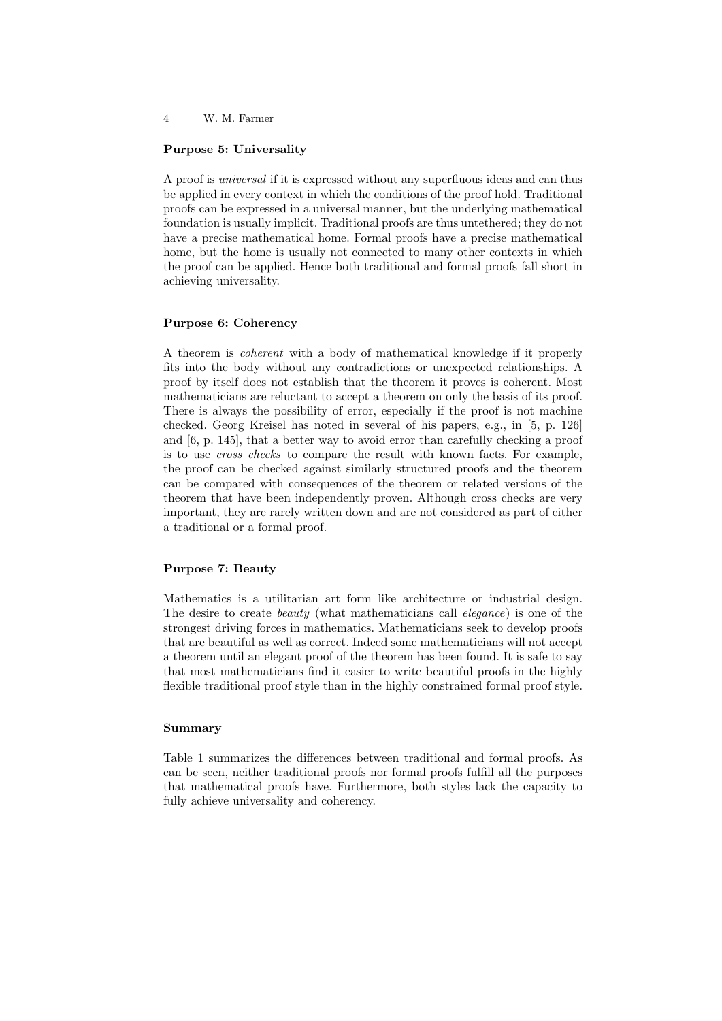#### 4 W. M. Farmer

#### Purpose 5: Universality

A proof is universal if it is expressed without any superfluous ideas and can thus be applied in every context in which the conditions of the proof hold. Traditional proofs can be expressed in a universal manner, but the underlying mathematical foundation is usually implicit. Traditional proofs are thus untethered; they do not have a precise mathematical home. Formal proofs have a precise mathematical home, but the home is usually not connected to many other contexts in which the proof can be applied. Hence both traditional and formal proofs fall short in achieving universality.

#### Purpose 6: Coherency

A theorem is coherent with a body of mathematical knowledge if it properly fits into the body without any contradictions or unexpected relationships. A proof by itself does not establish that the theorem it proves is coherent. Most mathematicians are reluctant to accept a theorem on only the basis of its proof. There is always the possibility of error, especially if the proof is not machine checked. Georg Kreisel has noted in several of his papers, e.g., in [5, p. 126] and [6, p. 145], that a better way to avoid error than carefully checking a proof is to use cross checks to compare the result with known facts. For example, the proof can be checked against similarly structured proofs and the theorem can be compared with consequences of the theorem or related versions of the theorem that have been independently proven. Although cross checks are very important, they are rarely written down and are not considered as part of either a traditional or a formal proof.

#### Purpose 7: Beauty

Mathematics is a utilitarian art form like architecture or industrial design. The desire to create *beauty* (what mathematicians call *elegance*) is one of the strongest driving forces in mathematics. Mathematicians seek to develop proofs that are beautiful as well as correct. Indeed some mathematicians will not accept a theorem until an elegant proof of the theorem has been found. It is safe to say that most mathematicians find it easier to write beautiful proofs in the highly flexible traditional proof style than in the highly constrained formal proof style.

#### Summary

Table 1 summarizes the differences between traditional and formal proofs. As can be seen, neither traditional proofs nor formal proofs fulfill all the purposes that mathematical proofs have. Furthermore, both styles lack the capacity to fully achieve universality and coherency.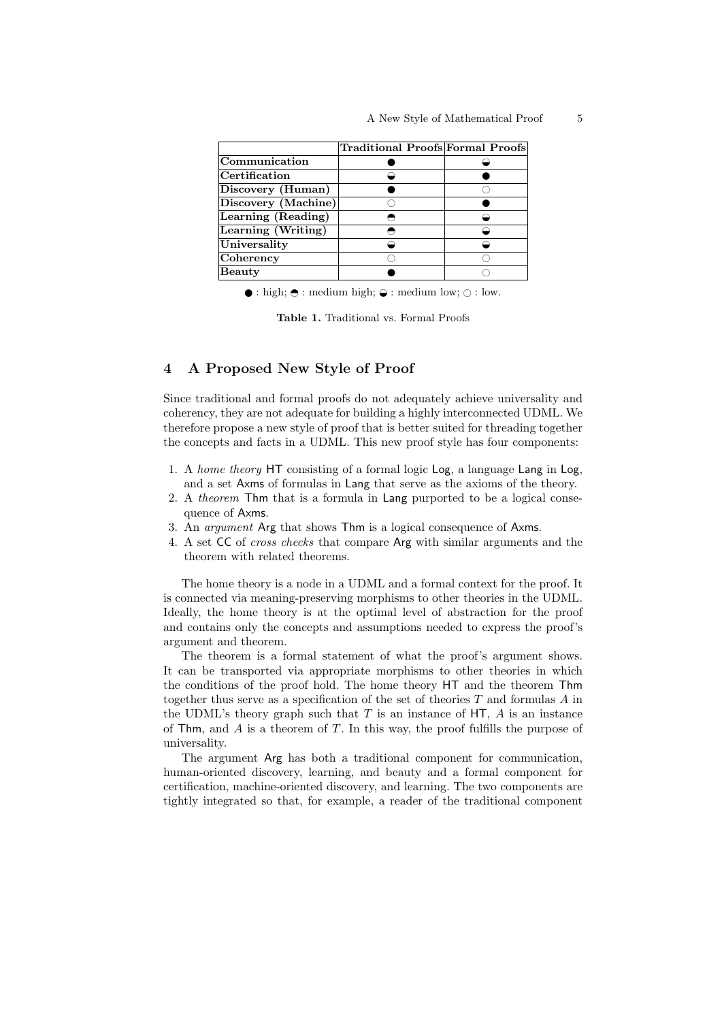|                     | Traditional Proofs Formal Proofs |  |
|---------------------|----------------------------------|--|
| Communication       |                                  |  |
| Certification       |                                  |  |
| Discovery (Human)   |                                  |  |
| Discovery (Machine) |                                  |  |
| Learning (Reading)  |                                  |  |
| Learning (Writing)  |                                  |  |
| Universality        |                                  |  |
| Coherency           |                                  |  |
| <b>Beauty</b>       |                                  |  |

 $\bullet$ : high;  $\bullet$ : medium high;  $\odot$ : medium low;  $\odot$ : low.

Table 1. Traditional vs. Formal Proofs

## 4 A Proposed New Style of Proof

Since traditional and formal proofs do not adequately achieve universality and coherency, they are not adequate for building a highly interconnected UDML. We therefore propose a new style of proof that is better suited for threading together the concepts and facts in a UDML. This new proof style has four components:

- 1. A home theory HT consisting of a formal logic Log, a language Lang in Log, and a set Axms of formulas in Lang that serve as the axioms of the theory.
- 2. A theorem Thm that is a formula in Lang purported to be a logical consequence of Axms.
- 3. An argument Arg that shows Thm is a logical consequence of Axms.
- 4. A set CC of cross checks that compare Arg with similar arguments and the theorem with related theorems.

The home theory is a node in a UDML and a formal context for the proof. It is connected via meaning-preserving morphisms to other theories in the UDML. Ideally, the home theory is at the optimal level of abstraction for the proof and contains only the concepts and assumptions needed to express the proof's argument and theorem.

The theorem is a formal statement of what the proof's argument shows. It can be transported via appropriate morphisms to other theories in which the conditions of the proof hold. The home theory HT and the theorem Thm together thus serve as a specification of the set of theories  $T$  and formulas  $A$  in the UDML's theory graph such that T is an instance of  $HT$ , A is an instance of Thm, and  $A$  is a theorem of  $T$ . In this way, the proof fulfills the purpose of universality.

The argument Arg has both a traditional component for communication, human-oriented discovery, learning, and beauty and a formal component for certification, machine-oriented discovery, and learning. The two components are tightly integrated so that, for example, a reader of the traditional component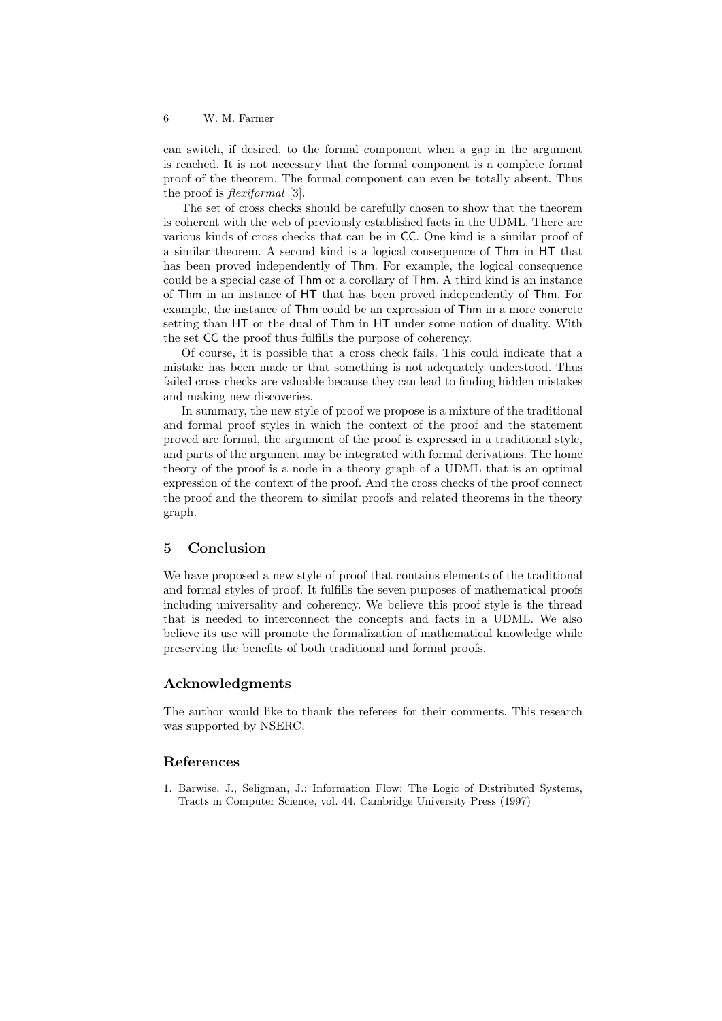can switch, if desired, to the formal component when a gap in the argument is reached. It is not necessary that the formal component is a complete formal proof of the theorem. The formal component can even be totally absent. Thus the proof is flexiformal [3].

The set of cross checks should be carefully chosen to show that the theorem is coherent with the web of previously established facts in the UDML. There are various kinds of cross checks that can be in CC. One kind is a similar proof of a similar theorem. A second kind is a logical consequence of Thm in HT that has been proved independently of Thm. For example, the logical consequence could be a special case of Thm or a corollary of Thm. A third kind is an instance of Thm in an instance of HT that has been proved independently of Thm. For example, the instance of Thm could be an expression of Thm in a more concrete setting than HT or the dual of Thm in HT under some notion of duality. With the set CC the proof thus fulfills the purpose of coherency.

Of course, it is possible that a cross check fails. This could indicate that a mistake has been made or that something is not adequately understood. Thus failed cross checks are valuable because they can lead to finding hidden mistakes and making new discoveries.

In summary, the new style of proof we propose is a mixture of the traditional and formal proof styles in which the context of the proof and the statement proved are formal, the argument of the proof is expressed in a traditional style, and parts of the argument may be integrated with formal derivations. The home theory of the proof is a node in a theory graph of a UDML that is an optimal expression of the context of the proof. And the cross checks of the proof connect the proof and the theorem to similar proofs and related theorems in the theory graph.

### 5 Conclusion

We have proposed a new style of proof that contains elements of the traditional and formal styles of proof. It fulfills the seven purposes of mathematical proofs including universality and coherency. We believe this proof style is the thread that is needed to interconnect the concepts and facts in a UDML. We also believe its use will promote the formalization of mathematical knowledge while preserving the benefits of both traditional and formal proofs.

### Acknowledgments

The author would like to thank the referees for their comments. This research was supported by NSERC.

### References

1. Barwise, J., Seligman, J.: Information Flow: The Logic of Distributed Systems, Tracts in Computer Science, vol. 44. Cambridge University Press (1997)